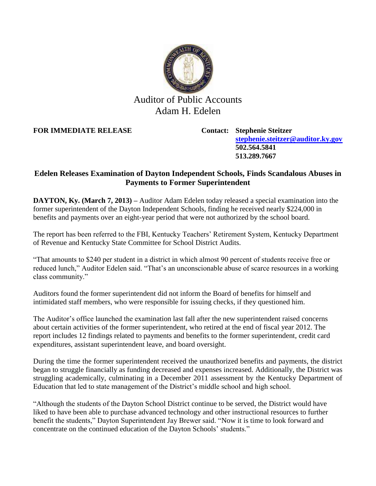

## Auditor of Public Accounts Adam H. Edelen

**FOR IMMEDIATE RELEASE Contact: Stephenie Steitzer**

**[stephenie.steitzer@auditor.ky.gov](mailto:stephenie.steitzer@auditor.ky.gov) 502.564.5841 513.289.7667**

## **Edelen Releases Examination of Dayton Independent Schools, Finds Scandalous Abuses in Payments to Former Superintendent**

**DAYTON, Ky. (March 7, 2013) –** Auditor Adam Edelen today released a special examination into the former superintendent of the Dayton Independent Schools, finding he received nearly \$224,000 in benefits and payments over an eight-year period that were not authorized by the school board.

The report has been referred to the FBI, Kentucky Teachers' Retirement System, Kentucky Department of Revenue and Kentucky State Committee for School District Audits.

"That amounts to \$240 per student in a district in which almost 90 percent of students receive free or reduced lunch," Auditor Edelen said. "That's an unconscionable abuse of scarce resources in a working class community."

Auditors found the former superintendent did not inform the Board of benefits for himself and intimidated staff members, who were responsible for issuing checks, if they questioned him.

The Auditor's office launched the examination last fall after the new superintendent raised concerns about certain activities of the former superintendent, who retired at the end of fiscal year 2012. The report includes 12 findings related to payments and benefits to the former superintendent, credit card expenditures, assistant superintendent leave, and board oversight.

During the time the former superintendent received the unauthorized benefits and payments, the district began to struggle financially as funding decreased and expenses increased. Additionally, the District was struggling academically, culminating in a December 2011 assessment by the Kentucky Department of Education that led to state management of the District's middle school and high school.

"Although the students of the Dayton School District continue to be served, the District would have liked to have been able to purchase advanced technology and other instructional resources to further benefit the students," Dayton Superintendent Jay Brewer said. "Now it is time to look forward and concentrate on the continued education of the Dayton Schools' students."